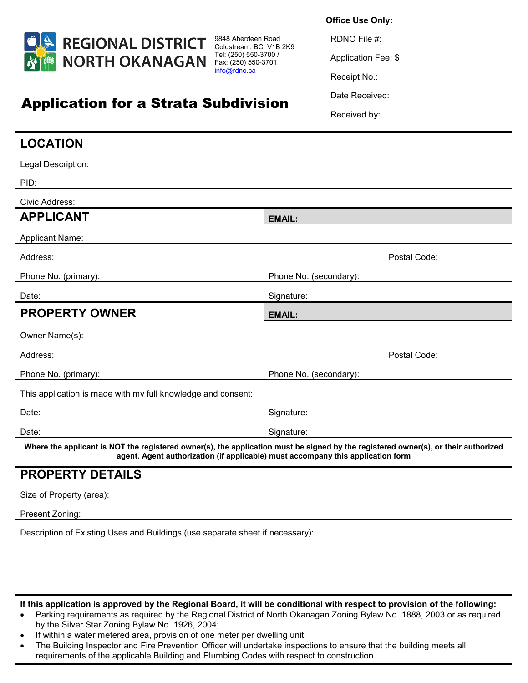

Application for a Strata Subdivision

9848 Aberdeen Road Coldstream, BC V1B 2K9 Tel: (250) 550-3700 / Fax: (250) 550-3701 [info@rdno.ca](mailto:info@rdno.ca)

**Office Use Only:**

RDNO File #:

Application Fee: \$

Receipt No.:

Date Received:

Received by:

## **LOCATION** Legal Description: PID: Civic Address: **APPLICANT EMAIL:** Applicant Name: Address: Postal Code: Postal Code: Postal Code: Postal Code: Postal Code: Postal Code: Postal Code: Postal Code: Postal Code: Postal Code: Postal Code: Postal Code: Postal Code: Postal Code: Postal Code: Postal Code: Posta Phone No. (primary): The Phone No. (secondary): Phone No. (secondary): Date: Signature: Signature: Signature: Signature: Signature: Signature: Signature: Signature: Signature: Signature: Signature: Signature: Signature: Signature: Signature: Signature: Signature: Signature: Signature: Signatu **PROPERTY OWNER** EMAIL: Owner Name(s): Address: Postal Code: Phone No. (primary): Phone No. (secondary): This application is made with my full knowledge and consent: Date: Signature: Signature: Signature: Signature: Signature: Signature: Signature: Signature: Signature: Signature: Signature: Signature: Signature: Signature: Signature: Signature: Signature: Signature: Signature: Signatu Date: Signature: Signature: Signature: Signature: Signature: Signature: Signature: Signature: Signature: Signature: Signature: Signature: Signature: Signature: Signature: Signature: Signature: Signature: Signature: Signatu **Where the applicant is NOT the registered owner(s), the application must be signed by the registered owner(s), or their authorized agent. Agent authorization (if applicable) must accompany this application form PROPERTY DETAILS** Size of Property (area): Present Zoning:

Description of Existing Uses and Buildings (use separate sheet if necessary):

**If this application is approved by the Regional Board, it will be conditional with respect to provision of the following:**

- Parking requirements as required by the Regional District of North Okanagan Zoning Bylaw No. 1888, 2003 or as required by the Silver Star Zoning Bylaw No. 1926, 2004;
- If within a water metered area, provision of one meter per dwelling unit;
- The Building Inspector and Fire Prevention Officer will undertake inspections to ensure that the building meets all requirements of the applicable Building and Plumbing Codes with respect to construction.